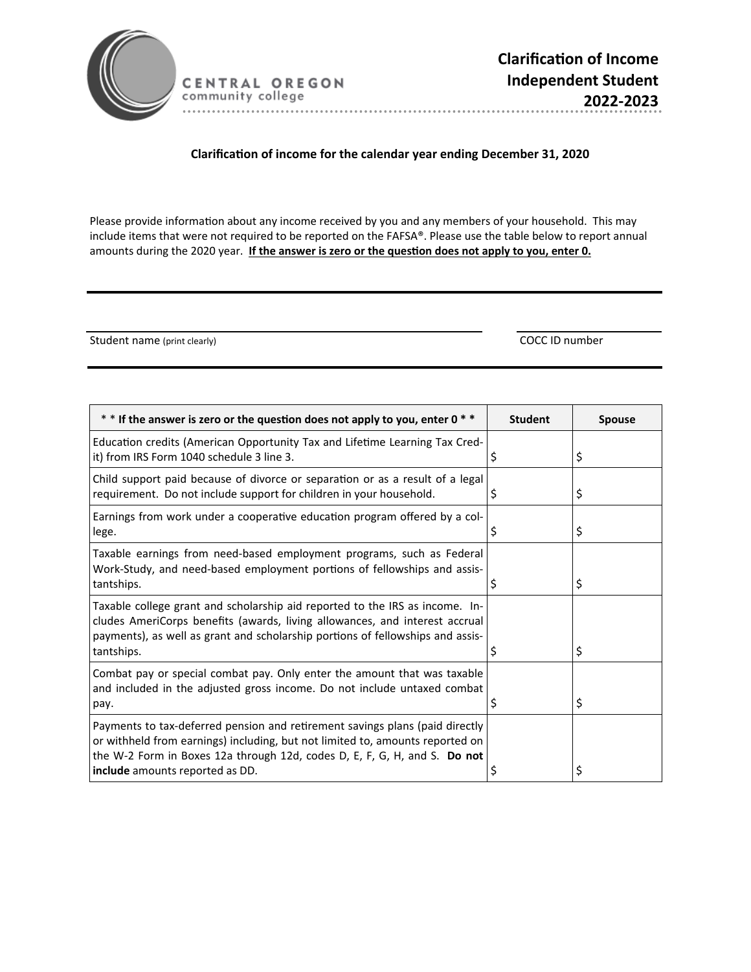

CENTRAL OREGON community college 

## **ClarificaƟon of income for the calendar year ending December 31, 2020**

Please provide information about any income received by you and any members of your household. This may include items that were not required to be reported on the FAFSA®. Please use the table below to report annual amounts during the 2020 year. If the answer is zero or the question does not apply to you, enter 0.

Student name (print clearly) COCC ID number

| $*$ * If the answer is zero or the question does not apply to you, enter 0 $*$                                                                                                                                                                                                | <b>Student</b> | <b>Spouse</b> |
|-------------------------------------------------------------------------------------------------------------------------------------------------------------------------------------------------------------------------------------------------------------------------------|----------------|---------------|
| Education credits (American Opportunity Tax and Lifetime Learning Tax Cred-<br>it) from IRS Form 1040 schedule 3 line 3.                                                                                                                                                      | \$             | \$            |
| Child support paid because of divorce or separation or as a result of a legal<br>requirement. Do not include support for children in your household.                                                                                                                          | Ş              | \$            |
| Earnings from work under a cooperative education program offered by a col-<br>lege.                                                                                                                                                                                           | \$             | \$            |
| Taxable earnings from need-based employment programs, such as Federal<br>Work-Study, and need-based employment portions of fellowships and assis-<br>tantships.                                                                                                               | Ş              | \$            |
| Taxable college grant and scholarship aid reported to the IRS as income. In-<br>cludes AmeriCorps benefits (awards, living allowances, and interest accrual<br>payments), as well as grant and scholarship portions of fellowships and assis-<br>tantships.                   | S              | \$            |
| Combat pay or special combat pay. Only enter the amount that was taxable<br>and included in the adjusted gross income. Do not include untaxed combat<br>pay.                                                                                                                  | Ş              | \$            |
| Payments to tax-deferred pension and retirement savings plans (paid directly<br>or withheld from earnings) including, but not limited to, amounts reported on<br>the W-2 Form in Boxes 12a through 12d, codes D, E, F, G, H, and S. Do not<br>include amounts reported as DD. |                | \$            |